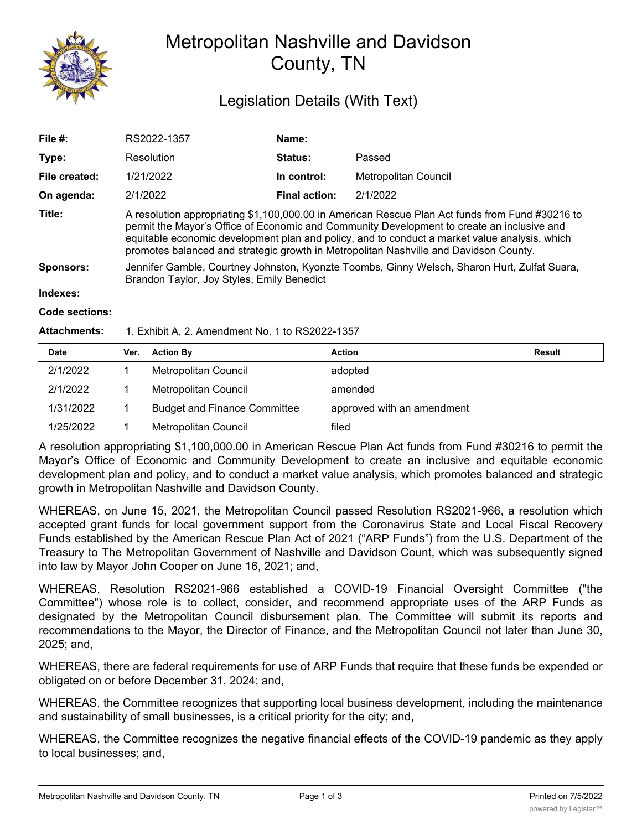

## Metropolitan Nashville and Davidson County, TN

## Legislation Details (With Text)

| File #:          | RS2022-1357                                                                                                                                                                                                                                                                                                                                                                             | Name:                |                      |  |  |
|------------------|-----------------------------------------------------------------------------------------------------------------------------------------------------------------------------------------------------------------------------------------------------------------------------------------------------------------------------------------------------------------------------------------|----------------------|----------------------|--|--|
| Type:            | Resolution                                                                                                                                                                                                                                                                                                                                                                              | <b>Status:</b>       | Passed               |  |  |
| File created:    | 1/21/2022                                                                                                                                                                                                                                                                                                                                                                               | In control:          | Metropolitan Council |  |  |
| On agenda:       | 2/1/2022                                                                                                                                                                                                                                                                                                                                                                                | <b>Final action:</b> | 2/1/2022             |  |  |
| Title:           | A resolution appropriating \$1,100,000.00 in American Rescue Plan Act funds from Fund #30216 to<br>permit the Mayor's Office of Economic and Community Development to create an inclusive and<br>equitable economic development plan and policy, and to conduct a market value analysis, which<br>promotes balanced and strategic growth in Metropolitan Nashville and Davidson County. |                      |                      |  |  |
| <b>Sponsors:</b> | Jennifer Gamble, Courtney Johnston, Kyonzte Toombs, Ginny Welsch, Sharon Hurt, Zulfat Suara,<br>Brandon Taylor, Joy Styles, Emily Benedict                                                                                                                                                                                                                                              |                      |                      |  |  |
| Indexes:         |                                                                                                                                                                                                                                                                                                                                                                                         |                      |                      |  |  |
| Code sections:   |                                                                                                                                                                                                                                                                                                                                                                                         |                      |                      |  |  |

## **Attachments:** 1. Exhibit A, 2. Amendment No. 1 to RS2022-1357

| <b>Date</b> | Ver. | <b>Action By</b>                    | <b>Action</b>              | <b>Result</b> |
|-------------|------|-------------------------------------|----------------------------|---------------|
| 2/1/2022    |      | Metropolitan Council                | adopted                    |               |
| 2/1/2022    |      | Metropolitan Council                | amended                    |               |
| 1/31/2022   |      | <b>Budget and Finance Committee</b> | approved with an amendment |               |
| 1/25/2022   |      | Metropolitan Council                | filed                      |               |

A resolution appropriating \$1,100,000.00 in American Rescue Plan Act funds from Fund #30216 to permit the Mayor's Office of Economic and Community Development to create an inclusive and equitable economic development plan and policy, and to conduct a market value analysis, which promotes balanced and strategic growth in Metropolitan Nashville and Davidson County.

WHEREAS, on June 15, 2021, the Metropolitan Council passed Resolution RS2021-966, a resolution which accepted grant funds for local government support from the Coronavirus State and Local Fiscal Recovery Funds established by the American Rescue Plan Act of 2021 ("ARP Funds") from the U.S. Department of the Treasury to The Metropolitan Government of Nashville and Davidson Count, which was subsequently signed into law by Mayor John Cooper on June 16, 2021; and,

WHEREAS, Resolution RS2021-966 established a COVID-19 Financial Oversight Committee ("the Committee") whose role is to collect, consider, and recommend appropriate uses of the ARP Funds as designated by the Metropolitan Council disbursement plan. The Committee will submit its reports and recommendations to the Mayor, the Director of Finance, and the Metropolitan Council not later than June 30, 2025; and,

WHEREAS, there are federal requirements for use of ARP Funds that require that these funds be expended or obligated on or before December 31, 2024; and,

WHEREAS, the Committee recognizes that supporting local business development, including the maintenance and sustainability of small businesses, is a critical priority for the city; and,

WHEREAS, the Committee recognizes the negative financial effects of the COVID-19 pandemic as they apply to local businesses; and,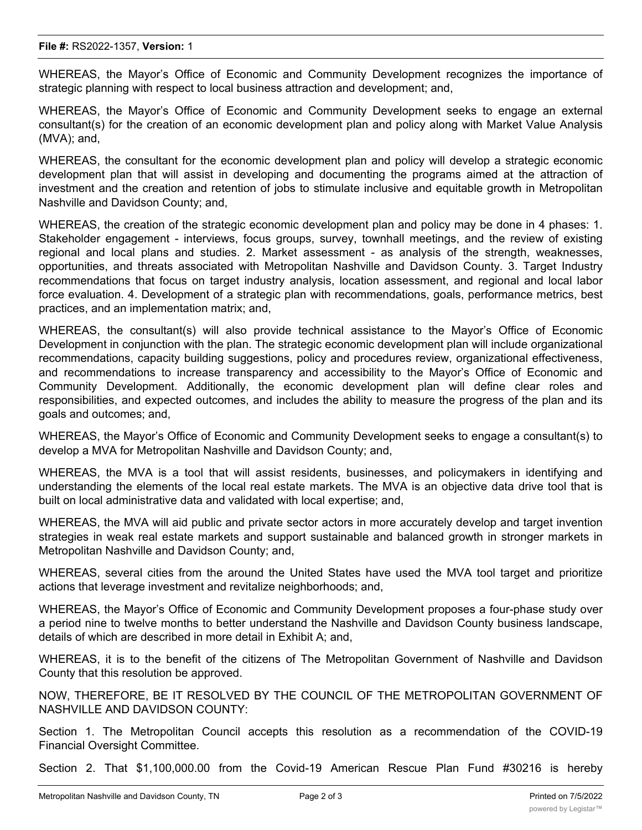WHEREAS, the Mayor's Office of Economic and Community Development recognizes the importance of strategic planning with respect to local business attraction and development; and,

WHEREAS, the Mayor's Office of Economic and Community Development seeks to engage an external consultant(s) for the creation of an economic development plan and policy along with Market Value Analysis (MVA); and,

WHEREAS, the consultant for the economic development plan and policy will develop a strategic economic development plan that will assist in developing and documenting the programs aimed at the attraction of investment and the creation and retention of jobs to stimulate inclusive and equitable growth in Metropolitan Nashville and Davidson County; and,

WHEREAS, the creation of the strategic economic development plan and policy may be done in 4 phases: 1. Stakeholder engagement - interviews, focus groups, survey, townhall meetings, and the review of existing regional and local plans and studies. 2. Market assessment - as analysis of the strength, weaknesses, opportunities, and threats associated with Metropolitan Nashville and Davidson County. 3. Target Industry recommendations that focus on target industry analysis, location assessment, and regional and local labor force evaluation. 4. Development of a strategic plan with recommendations, goals, performance metrics, best practices, and an implementation matrix; and,

WHEREAS, the consultant(s) will also provide technical assistance to the Mayor's Office of Economic Development in conjunction with the plan. The strategic economic development plan will include organizational recommendations, capacity building suggestions, policy and procedures review, organizational effectiveness, and recommendations to increase transparency and accessibility to the Mayor's Office of Economic and Community Development. Additionally, the economic development plan will define clear roles and responsibilities, and expected outcomes, and includes the ability to measure the progress of the plan and its goals and outcomes; and,

WHEREAS, the Mayor's Office of Economic and Community Development seeks to engage a consultant(s) to develop a MVA for Metropolitan Nashville and Davidson County; and,

WHEREAS, the MVA is a tool that will assist residents, businesses, and policymakers in identifying and understanding the elements of the local real estate markets. The MVA is an objective data drive tool that is built on local administrative data and validated with local expertise; and,

WHEREAS, the MVA will aid public and private sector actors in more accurately develop and target invention strategies in weak real estate markets and support sustainable and balanced growth in stronger markets in Metropolitan Nashville and Davidson County; and,

WHEREAS, several cities from the around the United States have used the MVA tool target and prioritize actions that leverage investment and revitalize neighborhoods; and,

WHEREAS, the Mayor's Office of Economic and Community Development proposes a four-phase study over a period nine to twelve months to better understand the Nashville and Davidson County business landscape, details of which are described in more detail in Exhibit A; and,

WHEREAS, it is to the benefit of the citizens of The Metropolitan Government of Nashville and Davidson County that this resolution be approved.

NOW, THEREFORE, BE IT RESOLVED BY THE COUNCIL OF THE METROPOLITAN GOVERNMENT OF NASHVILLE AND DAVIDSON COUNTY:

Section 1. The Metropolitan Council accepts this resolution as a recommendation of the COVID-19 Financial Oversight Committee.

Section 2. That \$1,100,000.00 from the Covid-19 American Rescue Plan Fund #30216 is hereby